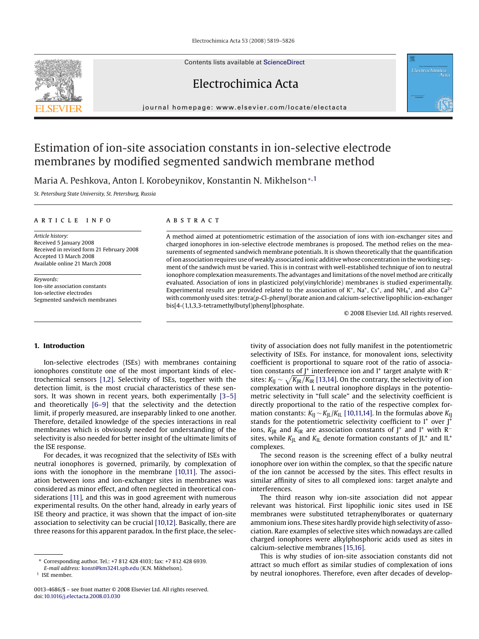Electrochimica Acta 53 (2008) 5819–5826

Contents lists available at [ScienceDirect](http://www.sciencedirect.com/science/journal/00134686)

Electrochimica Acta

journal homepage: www.elsevier.com/locate/electacta





# Estimation of ion-site association constants in ion-selective electrode membranes by modified segmented sandwich membrane method

Maria A. Peshkova, Anton I. Korobeynikov, Konstantin N. Mikhelson∗,<sup>1</sup>

*St. Petersburg State University, St. Petersburg, Russia*

## article info

*Article history:* Received 5 January 2008 Received in revised form 21 February 2008 Accepted 13 March 2008 Available online 21 March 2008

*Keywords:* Ion-site association constants Ion-selective electrodes Segmented sandwich membranes

## **ABSTRACT**

A method aimed at potentiometric estimation of the association of ions with ion-exchanger sites and charged ionophores in ion-selective electrode membranes is proposed. The method relies on the measurements of segmented sandwich membrane potentials. It is shown theoretically that the quantification of ion association requires use of weakly associated ionic additive whose concentration in the working segment of the sandwich must be varied. This is in contrast with well-established technique of ion to neutral ionophore complexation measurements. The advantages and limitations of the novel method are critically evaluated. Association of ions in plasticized poly(vinylchloride) membranes is studied experimentally. Experimental results are provided related to the association of  $K^*$ , Na<sup>+</sup>, Cs<sup>+</sup>, and NH<sub>4</sub><sup>+</sup>, and also Ca<sup>2+</sup> with commonly used sites: tetra(*p*-Cl-phenyl)borate anion and calcium-selective lipophilic ion-exchanger bis[4-(1,1,3,3-tetramethylbutyl)phenyl]phosphate.

© 2008 Elsevier Ltd. All rights reserved.

# **1. Introduction**

Ion-selective electrodes (ISEs) with membranes containing ionophores constitute one of the most important kinds of electrochemical sensors [\[1,2\].](#page-7-0) Selectivity of ISEs, together with the detection limit, is the most crucial characteristics of these sensors. It was shown in recent years, both experimentally [\[3–5\]](#page-7-0) and theoretically [\[6–9\]](#page-7-0) that the selectivity and the detection limit, if properly measured, are inseparably linked to one another. Therefore, detailed knowledge of the species interactions in real membranes which is obviously needed for understanding of the selectivity is also needed for better insight of the ultimate limits of the ISE response.

For decades, it was recognized that the selectivity of ISEs with neutral ionophores is governed, primarily, by complexation of ions with the ionophore in the membrane [\[10,11\].](#page-7-0) The association between ions and ion-exchanger sites in membranes was considered as minor effect, and often neglected in theoretical considerations [\[11\], a](#page-7-0)nd this was in good agreement with numerous experimental results. On the other hand, already in early years of ISE theory and practice, it was shown that the impact of ion-site association to selectivity can be crucial [\[10,12\]. B](#page-7-0)asically, there are three reasons for this apparent paradox. In the first place, the selectivity of association does not fully manifest in the potentiometric selectivity of ISEs. For instance, for monovalent ions, selectivity coefficient is proportional to square root of the ratio of association constants of J<sup>+</sup> interference ion and I<sup>+</sup> target analyte with R<sup>−</sup> sites:  $K_{IJ} \sim \sqrt{K_{JR}/K_{IR}}$  [\[13,14\]. O](#page-7-0)n the contrary, the selectivity of ion complexation with L neutral ionophore displays in the potentiometric selectivity in "full scale" and the selectivity coefficient is directly proportional to the ratio of the respective complex formation constants: *K*<sub>IJ</sub> ∼ *K*<sub>IL</sub>/*K*<sub>IL</sub> [\[10,11,14\]. I](#page-7-0)n the formulas above *K*<sub>IJ</sub> stands for the potentiometric selectivity coefficient to  $I^+$  over  $J^+$ ions, *K*<sub>JR</sub> and *K*<sub>IR</sub> are association constants of J<sup>+</sup> and I<sup>+</sup> with R<sup>−</sup> sites, while  $K_{\text{IL}}$  and  $K_{\text{IL}}$  denote formation constants of JL<sup>+</sup> and IL<sup>+</sup> complexes.

The second reason is the screening effect of a bulky neutral ionophore over ion within the complex, so that the specific nature of the ion cannot be accessed by the sites. This effect results in similar affinity of sites to all complexed ions: target analyte and interferences.

The third reason why ion-site association did not appear relevant was historical. First lipophilic ionic sites used in ISE membranes were substituted tetraphenylborates or quaternary ammonium ions. These sites hardly provide high selectivity of association. Rare examples of selective sites which nowadays are called charged ionophores were alkylphosphoric acids used as sites in calcium-selective membranes [\[15,16\].](#page-7-0)

This is why studies of ion-site association constants did not attract so much effort as similar studies of complexation of ions by neutral ionophores. Therefore, even after decades of develop-

<sup>∗</sup> Corresponding author. Tel.: +7 812 428 4103; fax: +7 812 428 6939.

*E-mail address:* [konst@km3241.spb.edu](mailto:konst@km3241.spb.edu) (K.N. Mikhelson).

<sup>1</sup> ISE member.

<sup>0013-4686/\$ –</sup> see front matter © 2008 Elsevier Ltd. All rights reserved. doi[:10.1016/j.electacta.2008.03.030](dx.doi.org/10.1016/j.electacta.2008.03.030)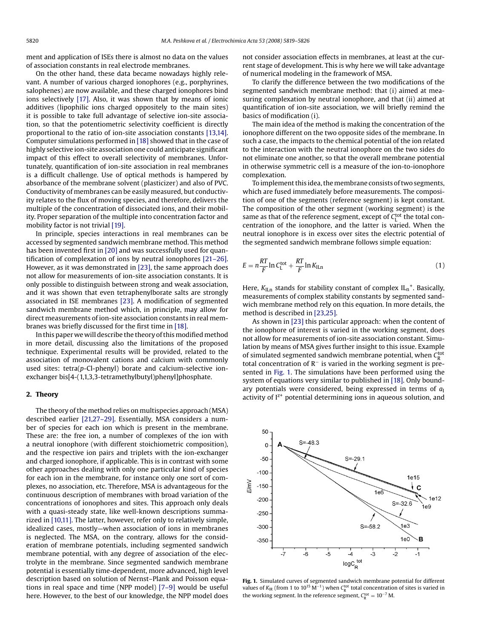<span id="page-1-0"></span>ment and application of ISEs there is almost no data on the values of association constants in real electrode membranes.

On the other hand, these data became nowadays highly relevant. A number of various charged ionophores (e.g., porphyrines, salophenes) are now available, and these charged ionophores bind ions selectively [\[17\].](#page-7-0) Also, it was shown that by means of ionic additives (lipophilic ions charged oppositely to the main sites) it is possible to take full advantage of selective ion-site association, so that the potentiometric selectivity coefficient is directly proportional to the ratio of ion-site association constants [\[13,14\].](#page-7-0) Computer simulations performed in [\[18\]](#page-7-0) showed that in the case of highly selective ion-site association one could anticipate significant impact of this effect to overall selectivity of membranes. Unfortunately, quantification of ion-site association in real membranes is a difficult challenge. Use of optical methods is hampered by absorbance of the membrane solvent (plasticizer) and also of PVC. Conductivity of membranes can be easily measured, but conductivity relates to the flux of moving species, and therefore, delivers the multiple of the concentration of dissociated ions, and their mobility. Proper separation of the multiple into concentration factor and mobility factor is not trivial [\[19\].](#page-7-0)

In principle, species interactions in real membranes can be accessed by segmented sandwich membrane method. This method has been invented first in [\[20\]](#page-7-0) and was successfully used for quantification of complexation of ions by neutral ionophores [\[21–26\].](#page-7-0) However, as it was demonstrated in [\[23\], t](#page-7-0)he same approach does not allow for measurements of ion-site association constants. It is only possible to distinguish between strong and weak association, and it was shown that even tetraphenylborate salts are strongly associated in ISE membranes [\[23\].](#page-7-0) A modification of segmented sandwich membrane method which, in principle, may allow for direct measurements of ion-site association constants in real membranes was briefly discussed for the first time in [\[18\].](#page-7-0)

In this paper we will describe the theory of this modified method in more detail, discussing also the limitations of the proposed technique. Experimental results will be provided, related to the association of monovalent cations and calcium with commonly used sites: tetra(*p*-Cl-phenyl) borate and calcium-selective ionexchanger bis[4-(1,1,3,3-tetramethylbutyl)phenyl]phosphate.

## **2. Theory**

The theory of the method relies on multispecies approach (MSA) described earlier [\[21,27–29\].](#page-7-0) Essentially, MSA considers a number of species for each ion which is present in the membrane. These are: the free ion, a number of complexes of the ion with a neutral ionophore (with different stoichiometric composition), and the respective ion pairs and triplets with the ion-exchanger and charged ionophore, if applicable. This is in contrast with some other approaches dealing with only one particular kind of species for each ion in the membrane, for instance only one sort of complexes, no association, etc. Therefore, MSA is advantageous for the continuous description of membranes with broad variation of the concentrations of ionophores and sites. This approach only deals with a quasi-steady state, like well-known descriptions summarized in [\[10,11\]. T](#page-7-0)he latter, however, refer only to relatively simple, idealized cases, mostly—when association of ions in membranes is neglected. The MSA, on the contrary, allows for the consideration of membrane potentials, including segmented sandwich membrane potential, with any degree of association of the electrolyte in the membrane. Since segmented sandwich membrane potential is essentially time-dependent, more advanced, high level description based on solution of Nernst–Plank and Poisson equations in real space and time (NPP model) [\[7–9\]](#page-7-0) would be useful here. However, to the best of our knowledge, the NPP model does not consider association effects in membranes, at least at the current stage of development. This is why here we will take advantage of numerical modeling in the framework of MSA.

To clarify the difference between the two modifications of the segmented sandwich membrane method: that (i) aimed at measuring complexation by neutral ionophore, and that (ii) aimed at quantification of ion-site association, we will briefly remind the basics of modification (i).

The main idea of the method is making the concentration of the ionophore different on the two opposite sides of the membrane. In such a case, the impacts to the chemical potential of the ion related to the interaction with the neutral ionophore on the two sides do not eliminate one another, so that the overall membrane potential in otherwise symmetric cell is a measure of the ion-to-ionophore complexation.

To implement this idea, the membrane consists of two segments, which are fused immediately before measurements. The composition of one of the segments (reference segment) is kept constant. The composition of the other segment (working segment) is the same as that of the reference segment, except of  $C_{L}^{\text{tot}}$  the total concentration of the ionophore, and the latter is varied. When the neutral ionophore is in excess over sites the electric potential of the segmented sandwich membrane follows simple equation:

$$
E = n\frac{RT}{F}\ln C_L^{\text{tot}} + \frac{RT}{F}\ln K_{\text{ILn}}\tag{1}
$$

Here,  $K_{\text{ILn}}$  stands for stability constant of complex  $IL_n^+$ . Basically, measurements of complex stability constants by segmented sandwich membrane method rely on this equation. In more details, the method is described in [\[23,25\].](#page-7-0)

As shown in [\[23\]](#page-7-0) this particular approach: when the content of the ionophore of interest is varied in the working segment, does not allow for measurements of ion-site association constant. Simulation by means of MSA gives further insight to this issue. Example of simulated segmented sandwich membrane potential, when  $C_{\rm R}^{\rm tot}$ total concentration of  $R^-$  is varied in the working segment is presented in Fig. 1. The simulations have been performed using the system of equations very similar to published in [\[18\]. O](#page-7-0)nly boundary potentials were considered, being expressed in terms of  $a<sub>l</sub>$ activity of  $I^{z+}$  potential determining ions in aqueous solution, and

50  $S = -48.3$  $\mathbf 0$  $S = -29.1$  $-50$  $-100$ 1e15  $\leq$ m $\geq$  $-150$  $1e<sub>6</sub>$ 1e12  $-200$  $S = -326$  $-250$  $S = -58.2$  $1e<sub>3</sub>$  $-300$  $1e0$ B  $-350$ -7  $-5$  $-3$  $-2$  $-6$  $-4$  $-1$  $logC_R^{tot}$ 

**Fig. 1.** Simulated curves of segmented sandwich membrane potential for different values of  $K_{IR}$  (from 1 to 10<sup>15</sup> M<sup>-1</sup>) when  $C_{R}^{tot}$  total concentration of sites is varied in the working segment. In the reference segment,  $C_R^{\text{tot}} = 10^{-7}$  M.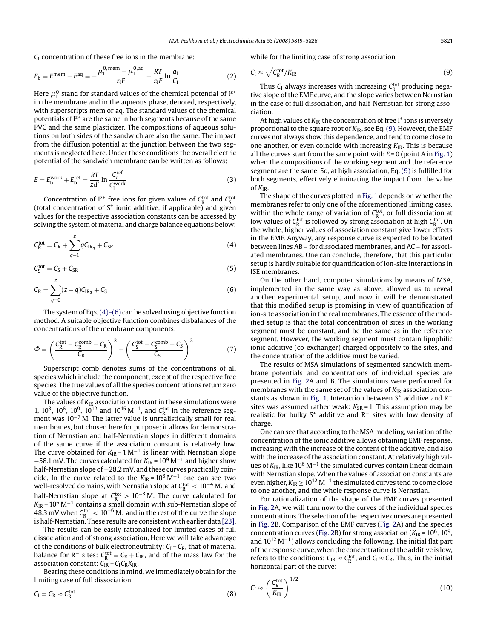<span id="page-2-0"></span>*C*<sup>I</sup> concentration of these free ions in the membrane:

$$
E_{\rm b} = E^{\rm mem} - E^{\rm aq} = -\frac{\mu_1^{\rm 0, mem} - \mu_1^{\rm 0, aq}}{z_{\rm I}F} + \frac{RT}{z_{\rm I}F} \ln \frac{a_{\rm I}}{C_{\rm I}} \tag{2}
$$

Here  $\mu_{\rm I}^0$  stand for standard values of the chemical potential of I<sup>z+</sup> in the membrane and in the aqueous phase, denoted, respectively, with superscripts mem or aq. The standard values of the chemical potentials of  $I^{z+}$  are the same in both segments because of the same PVC and the same plasticizer. The compositions of aqueous solutions on both sides of the sandwich are also the same. The impact from the diffusion potential at the junction between the two segments is neglected here. Under these conditions the overall electric potential of the sandwich membrane can be written as follows:

$$
E = E_{\rm b}^{\rm work} + E_{\rm b}^{\rm ref} = \frac{RT}{z_1F} \ln \frac{C_{\rm f}^{\rm ref}}{C_{\rm l}^{\rm work}} \tag{3}
$$

Concentration of  $I^{z+}$  free ions for given values of  $C_R^{tot}$  and  $C_S^{tot}$  (total concentration of  $S^+$  ionic additive, if applicable) and given values for the respective association constants can be accessed by solving the system of material and charge balance equations below:

$$
C_R^{\text{tot}} = C_R + \sum_{q=1}^{z} q C_{\text{IR}_q} + C_{\text{SR}}
$$
 (4)

$$
C_{\rm S}^{\rm tot} = C_{\rm S} + C_{\rm SR} \tag{5}
$$

$$
C_{\rm R} = \sum_{q=0}^{z} (z - q) C_{\rm IRq} + C_{\rm S} \tag{6}
$$

The system of Eqs.  $(4)$ – $(6)$  can be solved using objective function method. A suitable objective function combines disbalances of the concentrations of the membrane components:

$$
\Phi = \left(\frac{C_R^{\text{tot}} - C_R^{\text{comb}} - C_R}{C_R}\right)^2 + \left(\frac{C_S^{\text{tot}} - C_S^{\text{comb}} - C_S}{C_S}\right)^2 \tag{7}
$$

Superscript comb denotes sums of the concentrations of all species which include the component, except of the respective free species. The true values of all the species concentrations return zero value of the objective function.

The values of  $K_{IR}$  association constant in these simulations were 1, 10<sup>3</sup>, 10<sup>6</sup>, 10<sup>9</sup>, 10<sup>12</sup> and 10<sup>15</sup> M<sup>-1</sup>, and C<sub>R</sub><sup>tot</sup> in the reference segment was 10<sup>-7</sup> M. The latter value is unrealistically small for real membranes, but chosen here for purpose: it allows for demonstration of Nernstian and half-Nernstian slopes in different domains of the same curve if the association constant is relatively low. The curve obtained for  $K_{IR} = 1 \text{ M}^{-1}$  is linear with Nernstian slope <sup>−</sup>58.1 mV. The curves calculated for *<sup>K</sup>*IR = 109 <sup>M</sup>−<sup>1</sup> and higher show half-Nernstian slope of −28.2 mV, and these curves practically coincide. In the curve related to the  $K_{IR} = 10^3 \text{ M}^{-1}$  one can see two well-resolved domains, with Nernstian slope at  $C_{\rm R}^{\rm tot} < 10^{-4}$  M, and half-Nernstian slope at  $C_R^{\text{tot}} > 10^{-3}$  M. The curve calculated for *K*IR = 106 M−<sup>1</sup> contains a small domain with sub-Nernstian slope of 48.3 mV when  $C_{\rm R}^{\rm tot} < 10^{-6}$  M, and in the rest of the curve the slope is half-Nernstian. These results are consistent with earlier data [\[23\].](#page-7-0)

The results can be easily rationalized for limited cases of full dissociation and of strong association. Here we will take advantage of the conditions of bulk electroneutrality:  $C_I = C_R$ , that of material balance for R<sup>-</sup> sites:  $C_R^{\text{tot}} = C_R + C_{\text{IR}}$ , and of the mass law for the association constant: *C*IR = *C*I*C*R*K*IR.

Bearing these conditions in mind, we immediately obtain for the limiting case of full dissociation

$$
C_{I} = C_{R} \approx C_{R}^{\text{tot}} \tag{8}
$$

while for the limiting case of strong association

$$
C_{\rm I} \approx \sqrt{C_{\rm R}^{\rm tot}/K_{\rm IR}}\tag{9}
$$

Thus  $C_{\rm I}$  always increases with increasing  $C_{\rm R}^{\rm tot}$  producing negative slope of the EMF curve, and the slope varies between Nernstian in the case of full dissociation, and half-Nernstian for strong association.

At high values of  $K_{IR}$  the concentration of free I<sup>+</sup> ions is inversely proportional to the square root of  $K_{IR}$ , see Eq. (9). However, the EMF curves not always show this dependence, and tend to come close to one another, or even coincide with increasing *K*IR. This is because all the curves start from the same point with  $E = 0$  (point A in [Fig. 1\)](#page-1-0) when the compositions of the working segment and the reference segment are the same. So, at high association, Eq. (9) is fulfilled for both segments, effectively eliminating the impact from the value of *K*IR.

The shape of the curves plotted in [Fig. 1](#page-1-0) depends on whether the membranes refer to only one of the aforementioned limiting cases, within the whole range of variation of  $C_R^{tot}$ , or full dissociation at low values of  $C_R^{\text{tot}}$  is followed by strong association at high  $C_R^{\text{tot}}$ . On the whole, higher values of association constant give lower effects in the EMF. Anyway, any response curve is expected to be located between lines AB – for dissociated membranes, and AC – for associated membranes. One can conclude, therefore, that this particular setup is hardly suitable for quantification of ion-site interactions in ISE membranes.

On the other hand, computer simulations by means of MSA, implemented in the same way as above, allowed us to reveal another experimental setup, and now it will be demonstrated that this modified setup is promising in view of quantification of ion-site association in the real membranes. The essence of the modified setup is that the total concentration of sites in the working segment must be constant, and be the same as in the reference segment. However, the working segment must contain lipophilic ionic additive (co-exchanger) charged oppositely to the sites, and the concentration of the additive must be varied.

The results of MSA simulations of segmented sandwich membrane potentials and concentrations of individual species are presented in [Fig. 2A](#page-3-0) and B. The simulations were performed for membranes with the same set of the values of  $K_{IR}$  association con-stants as shown in [Fig. 1. I](#page-1-0)nteraction between S<sup>+</sup> additive and R<sup>−</sup> sites was assumed rather weak:  $K_{SR}$  = 1. This assumption may be realistic for bulky S+ additive and R<sup>−</sup> sites with low density of charge.

One can see that according to the MSA modeling, variation of the concentration of the ionic additive allows obtaining EMF response, increasing with the increase of the content of the additive, and also with the increase of the association constant. At relatively high values of  $K_{IR}$ , like 10<sup>6</sup> M<sup>-1</sup> the simulated curves contain linear domain with Nernstian slope. When the values of association constants are even higher,  $K_{IR} \geq 10^{12}$  M<sup>-1</sup> the simulated curves tend to come close to one another, and the whole response curve is Nernstian.

For rationalization of the shape of the EMF curves presented in [Fig. 2A](#page-3-0), we will turn now to the curves of the individual species concentrations. The selection of the respective curves are presented in [Fig. 2B](#page-3-0). Comparison of the EMF curves ([Fig. 2A](#page-3-0)) and the species concentration curves [\(Fig. 2B\)](#page-3-0) for strong association ( $K_{IR}$  = 10<sup>6</sup>, 10<sup>9</sup>, and  $10^{12}$  M<sup>-1</sup>) allows concluding the following. The initial flat part of the response curve, when the concentration of the additive is low, refers to the conditions:  $C_{IR} \approx C_R^{tot}$ , and  $C_I \approx C_R$ . Thus, in the initial horizontal part of the curve:

$$
C_{\rm I} \approx \left(\frac{C_{\rm R}^{\rm tot}}{K_{\rm IR}}\right)^{1/2} \tag{10}
$$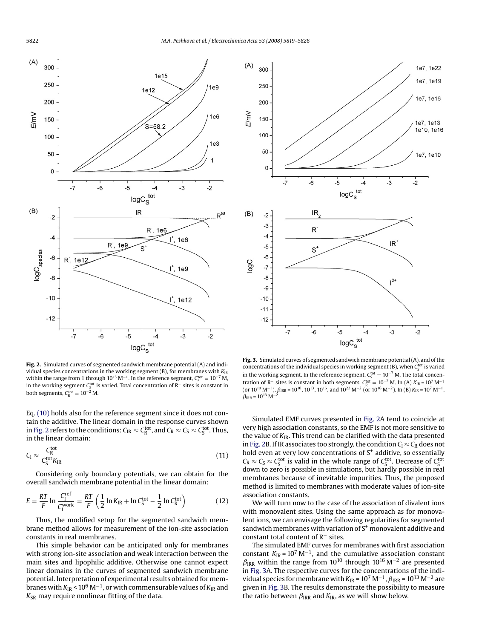<span id="page-3-0"></span>

**Fig. 2.** Simulated curves of segmented sandwich membrane potential (A) and individual species concentrations in the working segment (B), for membranes with  $K_{IR}$ within the range from 1 through  $10^{15}$  M<sup>-1</sup>. In the reference segment,  $C_S^{\text{tot}} = 10^{-7}$  M, in the working segment  $C_S^{\text{tot}}$  is varied. Total concentration of R<sup>−</sup> sites is constant in both segments,  $C_R^{\text{tot}} = 10^{-2}$  M.

Eq. [\(10\)](#page-2-0) holds also for the reference segment since it does not contain the additive. The linear domain in the response curves shown in Fig. 2 refers to the conditions:  $C_{IR} \approx C_R^{tot}$ , and  $C_R \approx C_S \approx C_S^{tot}$ . Thus, in the linear domain:

$$
C_{\rm I} \approx \frac{C_{\rm R}^{\rm tot}}{C_{\rm S}^{\rm tot} K_{\rm IR}}\tag{11}
$$

Considering only boundary potentials, we can obtain for the overall sandwich membrane potential in the linear domain:

$$
E = \frac{RT}{F} \ln \frac{C_1^{\text{ref}}}{C_1^{\text{work}}} = \frac{RT}{F} \left( \frac{1}{2} \ln K_{\text{IR}} + \ln C_S^{\text{tot}} - \frac{1}{2} \ln C_{\text{R}}^{\text{tot}} \right)
$$
(12)

Thus, the modified setup for the segmented sandwich membrane method allows for measurement of the ion-site association constants in real membranes.

This simple behavior can be anticipated only for membranes with strong ion-site association and weak interaction between the main sites and lipophilic additive. Otherwise one cannot expect linear domains in the curves of segmented sandwich membrane potential. Interpretation of experimental results obtained for membranes with *K*IR < 106 M−1, or with commensurable values of *K*IR and K<sub>SR</sub> may require nonlinear fitting of the data.



**Fig. 3.** Simulated curves of segmented sandwich membrane potential (A), and of the concentrations of the individual species in working segment (B), when  $C_S^{\text{tot}}$  is varied in the working segment. In the reference segment, C<sub>S</sub><sup>tot</sup> = 10<sup>-7</sup> M. The total concentration of R<sup>−</sup> sites is constant in both segments, C<sub>R</sub><sup>tot</sup> = 10<sup>-2</sup> M. In (A) *K*<sub>IR</sub> = 10<sup>7</sup> M<sup>-1</sup> (or 10<sup>10</sup> M<sup>-1</sup>),  $\beta_{\text{IRR}} = 10^{10}$ , 10<sup>13</sup>, 10<sup>16</sup>, and 10<sup>22</sup> M<sup>-2</sup> (or 10<sup>16</sup> M<sup>-2</sup>). In (B)  $K_{\text{IR}} = 10^7$  M<sup>-1</sup>,  $\beta_{\text{IRR}} = 10^{13} \text{ M}^{-2}.$ 

Simulated EMF curves presented in Fig. 2A tend to coincide at very high association constants, so the EMF is not more sensitive to the value of *K*IR. This trend can be clarified with the data presented in Fig. 2B. If IR associates too strongly, the condition  $C_I \approx C_R$  does not hold even at very low concentrations of  $S^+$  additive, so essentially  $C_R \approx C_S \approx C_S^{\text{tot}}$  is valid in the whole range of  $C_S^{\text{tot}}$ . Decrease of  $C_S^{\text{tot}}$ down to zero is possible in simulations, but hardly possible in real membranes because of inevitable impurities. Thus, the proposed method is limited to membranes with moderate values of ion-site association constants.

We will turn now to the case of the association of divalent ions with monovalent sites. Using the same approach as for monovalent ions, we can envisage the following regularities for segmented sandwich membranes with variation of  $S^+$  monovalent additive and constant total content of R− sites.

The simulated EMF curves for membranes with first association constant  $K_{IR}$  = 10<sup>7</sup> M<sup>-1</sup>, and the cumulative association constant  $\beta_{\rm{IRR}}$  within the range from 10<sup>10</sup> through 10<sup>16</sup> M<sup>-2</sup> are presented in Fig. 3A. The respective curves for the concentrations of the individual species for membrane with  $K_{IR}$  = 10<sup>7</sup> M<sup>-1</sup>,  $\beta_{IRR}$  = 10<sup>13</sup> M<sup>-2</sup> are given in Fig. 3B. The results demonstrate the possibility to measure the ratio between  $\beta_{\text{IRR}}$  and  $K_{\text{IR}}$ , as we will show below.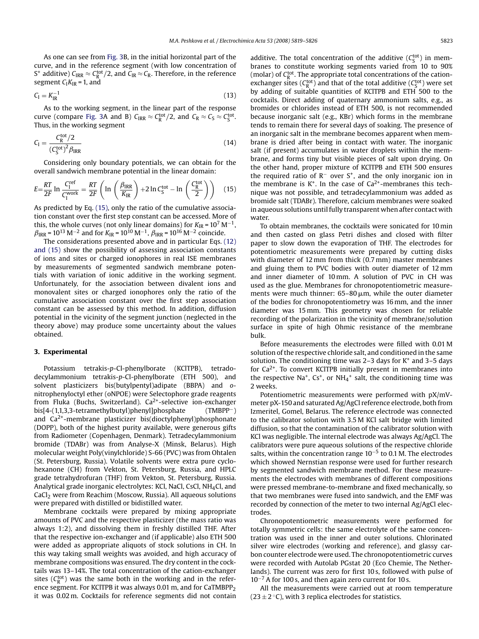<span id="page-4-0"></span>As one can see from [Fig. 3B](#page-3-0), in the initial horizontal part of the curve, and in the reference segment (with low concentration of S<sup>+</sup> additive) C<sub>IRR</sub>  $\approx$  C<sup>tot</sup>/2, and C<sub>IR</sub>  $\approx$  C<sub>R</sub>. Therefore, in the reference segment  $C_1K_{IR} = 1$ , and

$$
C_{\rm I} = K_{\rm IR}^{-1} \tag{13}
$$

As to the working segment, in the linear part of the response curve (compare [Fig. 3A](#page-3-0) and B)  $C_{\rm{IRR}} \approx C_{\rm{R}}^{\rm{tot}}/2$ , and  $C_{\rm{R}} \approx C_{\rm{S}} \approx C_{\rm{S}}^{\rm{tot}}$ . Thus, in the working segment

$$
C_{\rm I} = \frac{C_{\rm R}^{\rm tot}/2}{\left(C_{\rm S}^{\rm tot}\right)^2 \beta_{\rm IRR}}\tag{14}
$$

Considering only boundary potentials, we can obtain for the overall sandwich membrane potential in the linear domain:

$$
E = \frac{RT}{2F} \ln \frac{C_1^{\text{ref}}}{C_1^{\text{work}}} = \frac{RT}{2F} \left( \ln \left( \frac{\beta_{\text{IRR}}}{K_{\text{IR}}} \right) + 2 \ln C_S^{\text{tot}} - \ln \left( \frac{C_R^{\text{tot}}}{2} \right) \right) \tag{15}
$$

As predicted by Eq. (15), only the ratio of the cumulative association constant over the first step constant can be accessed. More of this, the whole curves (not only linear domains) for  $K_{IR} = 10^7$  M<sup>-1</sup>,  $\beta_{\text{IRR}}$  = 10<sup>13</sup> M<sup>-2</sup> and for  $K_{\text{IR}}$  = 10<sup>10</sup> M<sup>-1</sup>,  $\beta_{\text{IRR}}$  = 10<sup>16</sup> M<sup>-2</sup> coincide.

The considerations presented above and in particular Eqs. [\(12\)](#page-3-0) [and \(15\)](#page-3-0) show the possibility of assessing association constants of ions and sites or charged ionophores in real ISE membranes by measurements of segmented sandwich membrane potentials with variation of ionic additive in the working segment. Unfortunately, for the association between divalent ions and monovalent sites or charged ionophores only the ratio of the cumulative association constant over the first step association constant can be assessed by this method. In addition, diffusion potential in the vicinity of the segment junction (neglected in the theory above) may produce some uncertainty about the values obtained.

## **3. Experimental**

Potassium tetrakis-*p*-Cl-phenylborate (KClTPB), tetradodecylammonium tetrakis-*p*-Cl-phenylborate (ETH 500), and solvent plasticizers bis(butylpentyl)adipate (BBPA) and *o*nitrophenyloctyl ether (oNPOE) were Selectophore grade reagents from Fluka (Buchs, Switzerland).  $Ca^{2+}$ -selective ion-exchanger bis[4-(1,1,3,3-tetramethylbutyl)phenyl]phosphate (TMBPP−) and  $Ca<sup>2+</sup>$ -membrane plasticizer bis(dioctylphenyl)phosphonate (DOPP), both of the highest purity available, were generous gifts from Radiometer (Copenhagen, Denmark). Tetradecylammonium bromide (TDABr) was from Analyse-X (Minsk, Belarus). High molecular weight Poly(vinylchloride) S-66 (PVC) was from Ohtalen (St. Petersburg, Russia). Volatile solvents were extra pure cyclohexanone (CH) from Vekton, St. Petersburg, Russia, and HPLC grade tetrahydrofuran (THF) from Vekton, St. Petersburg, Russia. Analytical grade inorganic electrolytes: KCl, NaCl, CsCl, NH4Cl, and CaCl<sub>2</sub> were from Reachim (Moscow, Russia). All aqueous solutions were prepared with distilled or bidistilled water.

Membrane cocktails were prepared by mixing appropriate amounts of PVC and the respective plasticizer (the mass ratio was always 1:2), and dissolving them in freshly distilled THF. After that the respective ion-exchanger and (if applicable) also ETH 500 were added as appropriate aliquots of stock solutions in CH. In this way taking small weights was avoided, and high accuracy of membrane compositions was ensured. The dry content in the cocktails was 13–14%. The total concentration of the cation-exchanger sites ( $C_R^{\text{tot}}$ ) was the same both in the working and in the reference segment. For KCITPB it was always 0.01 m, and for CaTMBPP<sub>2</sub> it was 0.02 m. Cocktails for reference segments did not contain

additive. The total concentration of the additive  $(C_S^{\text{tot}})$  in membranes to constitute working segments varied from 10 to 90% (molar) of  $C_R^{\text{tot}}$ . The appropriate total concentrations of the cationexchanger sites ( $C_R^{\text{tot}}$ ) and that of the total additive ( $C_S^{\text{tot}}$ ) were set by adding of suitable quantities of KClTPB and ETH 500 to the cocktails. Direct adding of quaternary ammonium salts, e.g., as bromides or chlorides instead of ETH 500, is not recommended because inorganic salt (e.g., KBr) which forms in the membrane tends to remain there for several days of soaking. The presence of an inorganic salt in the membrane becomes apparent when membrane is dried after being in contact with water. The inorganic salt (if present) accumulates in water droplets within the membrane, and forms tiny but visible pieces of salt upon drying. On the other hand, proper mixture of KClTPB and ETH 500 ensures the required ratio of  $R^-$  over  $S^+$ , and the only inorganic ion in the membrane is  $K^+$ . In the case of  $Ca^{2+}$ -membranes this technique was not possible, and tetradecylammonium was added as bromide salt (TDABr). Therefore, calcium membranes were soaked in aqueous solutions until fully transparent when after contact with water.

To obtain membranes, the cocktails were sonicated for 10 min and then casted on glass Petri dishes and closed with filter paper to slow down the evaporation of THF. The electrodes for potentiometric measurements were prepared by cutting disks with diameter of 12 mm from thick (0.7 mm) master membranes and gluing them to PVC bodies with outer diameter of 12 mm and inner diameter of 10 mm. A solution of PVC in CH was used as the glue. Membranes for chronopotentiometric measurements were much thinner:  $65-80 \,\mu m$ , while the outer diameter of the bodies for chronopotentiometry was 16 mm, and the inner diameter was 15 mm. This geometry was chosen for reliable recording of the polarization in the vicinity of membrane/solution surface in spite of high Ohmic resistance of the membrane bulk.

Before measurements the electrodes were filled with 0.01 M solution of the respective chloride salt, and conditioned in the same solution. The conditioning time was 2–3 days for  $K^+$  and 3–5 days for  $Ca<sup>2+</sup>$ . To convert KClTPB initially present in membranes into the respective Na<sup>+</sup>, Cs<sup>+</sup>, or NH<sub>4</sub><sup>+</sup> salt, the conditioning time was 2 weeks.

Potentiometric measurements were performed with pX/mVmeter pX-150 and saturated Ag/AgCl reference electrode, both from Izmeritel, Gomel, Belarus. The reference electrode was connected to the calibrator solution with 3.5 M KCl salt bridge with limited diffusion, so that the contamination of the calibrator solution with KCl was negligible. The internal electrode was always Ag/AgCl. The calibrators were pure aqueous solutions of the respective chloride salts, within the concentration range  $10^{-5}$  to 0.1 M. The electrodes which showed Nernstian response were used for further research by segmented sandwich membrane method. For these measurements the electrodes with membranes of different compositions were pressed membrane-to-membrane and fixed mechanically, so that two membranes were fused into sandwich, and the EMF was recorded by connection of the meter to two internal Ag/AgCl electrodes.

Chronopotentiometric measurements were performed for totally symmetric cells: the same electrolyte of the same concentration was used in the inner and outer solutions. Chlorinated silver wire electrodes (working and reference), and glassy carbon counter electrode were used. The chronopotentiometric curves were recorded with Autolab PGstat 20 (Eco Chemie, The Netherlands). The current was zero for first 10 s, followed with pulse of 10−<sup>7</sup> A for 100 s, and then again zero current for 10 s.

All the measurements were carried out at room temperature (23  $\pm$  2 °C), with 3 replica electrodes for statistics.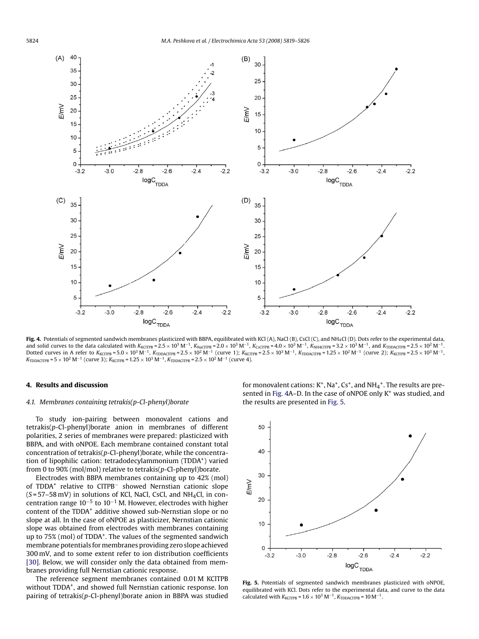<span id="page-5-0"></span>

Fig. 4. Potentials of segmented sandwich membranes plasticized with BBPA, equilibrated with KCl (A), NaCl (B), CsCl (C), and NH<sub>4</sub>Cl (D). Dots refer to the experimental data, and solid curves to the data calculated with *K<sub>KCITPB</sub>* = 2.5 × 10<sup>3</sup> M<sup>−1</sup>, *K<sub>NaCITPB</sub>* = 2.0 × 10<sup>3</sup> M<sup>−1</sup>, *K<sub>CSCITPB</sub>* = 4.0 × 10<sup>3</sup> M<sup>−1</sup>, *K<sub>NH4CITPB</sub>* = 3.2 × 10<sup>3</sup> M<sup>−1</sup>, and *K<sub>TDDACITPB</sub>* = 2.5 × 10<sup>2</sup> M<sup>−1</sup>. Dotted curves in A refer to *<sup>K</sup>*KClTPB = 5.0 <sup>×</sup> 103 <sup>M</sup>−1, *<sup>K</sup>*TDDAClTPB = 2.5 <sup>×</sup> 102 <sup>M</sup>−<sup>1</sup> (curve 1); *<sup>K</sup>*KClTPB = 2.5 <sup>×</sup> 103 <sup>M</sup>−1, *<sup>K</sup>*TDDAClTPB = 1.25 <sup>×</sup> 102 <sup>M</sup>−<sup>1</sup> (curve 2); *<sup>K</sup>*KClTPB = 2.5 <sup>×</sup> 103 <sup>M</sup>−1,  $K_{\text{TDDACITPB}} = 5 \times 10^2 \text{ M}^{-1}$  (curve 3);  $K_{\text{KCTPB}} = 1.25 \times 10^3 \text{ M}^{-1}$ ,  $K_{\text{TDDACITPB}} = 2.5 \times 10^2 \text{ M}^{-1}$  (curve 4).

### **4. Results and discussion**

# *4.1. Membranes containing tetrakis(p-Cl-phenyl)borate*

To study ion-pairing between monovalent cations and tetrakis(*p*-Cl-phenyl)borate anion in membranes of different polarities, 2 series of membranes were prepared: plasticized with BBPA, and with oNPOE. Each membrane contained constant total concentration of tetrakis(*p*-Cl-phenyl)borate, while the concentration of lipophilic cation: tetradodecylammonium (TDDA<sup>+</sup>) varied from 0 to 90% (mol/mol) relative to tetrakis(*p*-Cl-phenyl)borate.

Electrodes with BBPA membranes containing up to 42% (mol) of TDDA+ relative to ClTPB<sup>−</sup> showed Nernstian cationic slope (*S* = 57–58 mV) in solutions of KCl, NaCl, CsCl, and NH4Cl, in concentration range  $10^{-5}$  to  $10^{-1}$  M. However, electrodes with higher content of the TDDA<sup>+</sup> additive showed sub-Nernstian slope or no slope at all. In the case of oNPOE as plasticizer, Nernstian cationic slope was obtained from electrodes with membranes containing up to 75% (mol) of TDDA+. The values of the segmented sandwich membrane potentials for membranes providing zero slope achieved 300 mV, and to some extent refer to ion distribution coefficients [\[30\].](#page-7-0) Below, we will consider only the data obtained from membranes providing full Nernstian cationic response.

The reference segment membranes contained 0.01 M KClTPB without TDDA<sup>+</sup>, and showed full Nernstian cationic response. Ion pairing of tetrakis(*p*-Cl-phenyl)borate anion in BBPA was studied

for monovalent cations:  $K^+$ , Na<sup>+</sup>, Cs<sup>+</sup>, and NH<sub>4</sub><sup>+</sup>. The results are presented in Fig. 4A–D. In the case of oNPOE only K<sup>+</sup> was studied, and the results are presented in Fig. 5.



**Fig. 5.** Potentials of segmented sandwich membranes plasticized with oNPOE, equilibrated with KCl. Dots refer to the experimental data, and curve to the data calculated with  $K_{KCITPB} = 1.6 \times 10^3 \text{ M}^{-1}$ ,  $K_{TDDACITPB} = 10 \text{ M}^{-1}$ .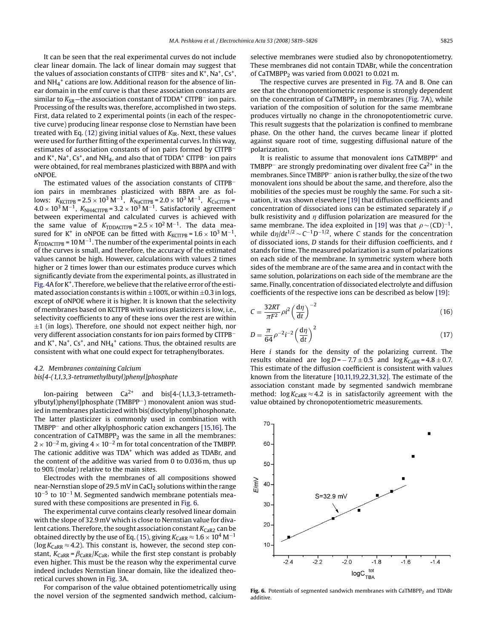It can be seen that the real experimental curves do not include clear linear domain. The lack of linear domain may suggest that the values of association constants of ClTPB<sup>−</sup> sites and K+, Na+, Cs+, and  $NH_4^+$  cations are low. Additional reason for the absence of linear domain in the emf curve is that these association constants are similar to *K*<sub>SR</sub>—the association constant of TDDA<sup>+</sup> ClTPB<sup>−</sup> ion pairs. Processing of the results was, therefore, accomplished in two steps. First, data related to 2 experimental points (in each of the respective curve) producing linear response close to Nernstian have been treated with Eq. [\(12\)](#page-3-0) giving initial values of *K*IR. Next, these values were used for further fitting of the experimental curves. In this way, estimates of association constants of ion pairs formed by ClTPB<sup>−</sup> and K<sup>+</sup>, Na<sup>+</sup>, Cs<sup>+</sup>, and NH<sub>4</sub>, and also that of TDDA<sup>+</sup> ClTPB<sup>−</sup> ion pairs were obtained, for real membranes plasticized with BBPA and with oNPOE.

The estimated values of the association constants of ClTPB− ion pairs in membranes plasticized with BBPA are as follows:  $K_{\text{KCITPB}} = 2.5 \times 10^3 \text{ M}^{-1}$ ,  $K_{\text{NaCITPB}} = 2.0 \times 10^3 \text{ M}^{-1}$ ,  $K_{\text{CSCITPB}} =$  $4.0 \times 10^3 \,\mathrm{M}^{-1}$ ,  $K_{\text{NH4CITPB}} = 3.2 \times 10^3 \,\mathrm{M}^{-1}$ . Satisfactorily agreement between experimental and calculated curves is achieved with the same value of  $K_{\text{TDDACITPB}} = 2.5 \times 10^2 \,\text{M}^{-1}$ . The data measured for K<sup>+</sup> in oNPOE can be fitted with  $K_{\text{KCITPB}} = 1.6 \times 10^3 \text{ M}^{-1}$ ,  $K_{\text{TDDACTP}\text{B}}$  = 10 M<sup>-1</sup>. The number of the experimental points in each of the curves is small, and therefore, the accuracy of the estimated values cannot be high. However, calculations with values 2 times higher or 2 times lower than our estimates produce curves which significantly deviate from the experimental points, as illustrated in [Fig. 4A](#page-5-0) for K<sup>+</sup>. Therefore, we believe that the relative error of the estimated association constants is within  $\pm 100\%$ , or within  $\pm 0.3$  in logs, except of oNPOE where it is higher. It is known that the selectivity of membranes based on KClTPB with various plasticizers is low, i.e., selectivity coefficients to any of these ions over the rest are within  $\pm 1$  (in logs). Therefore, one should not expect neither high, nor very different association constants for ion pairs formed by ClTPB− and K<sup>+</sup>, Na<sup>+</sup>, Cs<sup>+</sup>, and NH<sub>4</sub><sup>+</sup> cations. Thus, the obtained results are consistent with what one could expect for tetraphenylborates.

# *4.2. Membranes containing Calcium bis[4-(1,1,3,3-tetramethylbutyl)phenyl]phosphate*

Ion-pairing between  $Ca^{2+}$  and  $bis[4-(1,1,3,3-tetrameth$ ylbutyl)phenyl]phosphate (TMBPP−) monovalent anion was studied in membranes plasticized with bis(dioctylphenyl)phosphonate. The latter plasticizer is commonly used in combination with TMBPP− and other alkylphosphoric cation exchangers [\[15,16\]. T](#page-7-0)he concentration of  $CaTMBPP<sub>2</sub>$  was the same in all the membranes:  $2 \times 10^{-2}$  m, giving  $4 \times 10^{-2}$  m for total concentration of the TMBPP. The cationic additive was TDA<sup>+</sup> which was added as TDABr, and the content of the additive was varied from 0 to 0.036 m, thus up to 90% (molar) relative to the main sites.

Electrodes with the membranes of all compositions showed near-Nernstian slope of 29.5 mV in CaCl<sub>2</sub> solutions within the range 10−<sup>5</sup> to 10−<sup>1</sup> M. Segmented sandwich membrane potentials measured with these compositions are presented in Fig. 6.

The experimental curve contains clearly resolved linear domain with the slope of 32.9 mV which is close to Nernstian value for divalent cations. Therefore, the sought association constant *K*<sub>CaR2</sub> can be obtained directly by the use of Eq. [\(15\), g](#page-4-0)iving  $K_{\text{CaRR}} \approx 1.6 \times 10^4 \,\text{M}^{-1}$ ( $\log K_{\text{C}ARR} \approx 4.2$ ). This constant is, however, the second step constant,  $K_{\text{CARR}} = \beta_{\text{CARR}}/K_{\text{CaR}}$ , while the first step constant is probably even higher. This must be the reason why the experimental curve indeed includes Nernstian linear domain, like the idealized theoretical curves shown in [Fig. 3A](#page-3-0).

For comparison of the value obtained potentiometrically using the novel version of the segmented sandwich method, calciumselective membranes were studied also by chronopotentiometry. These membranes did not contain TDABr, while the concentration of CaTMBPP<sub>2</sub> was varied from  $0.0021$  to  $0.021$  m.

The respective curves are presented in [Fig. 7A](#page-7-0) and B. One can see that the chronopotentiometric response is strongly dependent on the concentration of  $CaTMBPP<sub>2</sub>$  in membranes ([Fig. 7A](#page-7-0)), while variation of the composition of solution for the same membrane produces virtually no change in the chronopotentiometric curve. This result suggests that the polarization is confined to membrane phase. On the other hand, the curves became linear if plotted against square root of time, suggesting diffusional nature of the polarization.

It is realistic to assume that monovalent ions CaTMBPP<sup>+</sup> and TMBPP<sup>−</sup> are strongly predominating over divalent free Ca<sup>2+</sup> in the membranes. Since TMBPP− anion is rather bulky, the size of the two monovalent ions should be about the same, and therefore, also the mobilities of the species must be roughly the same. For such a situation, it was shown elsewhere [\[19\]](#page-7-0) that diffusion coefficients and concentration of dissociated ions can be estimated separately if  $\rho$ bulk resistivity and  $\eta$  diffusion polarization are measured for the same membrane. The idea exploited in [\[19\]](#page-7-0) was that  $\rho \sim (CD)^{-1}$ , while  $d\eta/dt^{1/2}$  ~  $C^{-1}D^{-1/2}$ , where *C* stands for the concentration of dissociated ions, *D* stands for their diffusion coefficients, and *t* stands for time. The measured polarization is a sum of polarizations on each side of the membrane. In symmetric system where both sides of the membrane are of the same area and in contact with the same solution, polarizations on each side of the membrane are the same. Finally, concentration of dissociated electrolyte and diffusion coefficients of the respective ions can be described as below [\[19\]:](#page-7-0)

$$
C = \frac{32RT}{\pi F^2} \rho i^2 \left(\frac{d\eta}{dt}\right)^{-2} \tag{16}
$$

$$
D = \frac{\pi}{64} \rho^{-2} i^{-2} \left(\frac{d\eta}{dt}\right)^2 \tag{17}
$$

Here *i* stands for the density of the polarizing current. The results obtained are  $log D = -7.7 \pm 0.5$  and  $log K_{CARR} = 4.8 \pm 0.7$ . This estimate of the diffusion coefficient is consistent with values known from the literature [\[10,11,19,22,31,32\]. T](#page-7-0)he estimate of the association constant made by segmented sandwich membrane method:  $log K_{CARR} \approx 4.2$  is in satisfactorily agreement with the value obtained by chronopotentiometric measurements.



**Fig. 6.** Potentials of segmented sandwich membranes with CaTMBPP<sub>2</sub> and TDAB<sub>I</sub> additive.